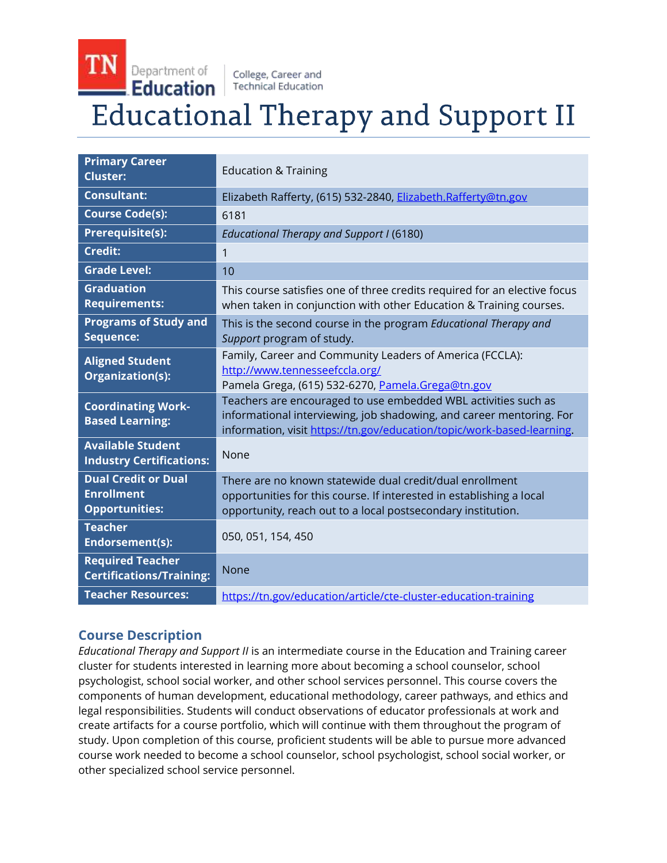### **TN** Department of College, Career and **Education Technical Education Educational Therapy and Support II**

| <b>Primary Career</b><br><b>Cluster:</b>                                 | <b>Education &amp; Training</b>                                                                                                                                                                                  |
|--------------------------------------------------------------------------|------------------------------------------------------------------------------------------------------------------------------------------------------------------------------------------------------------------|
| <b>Consultant:</b>                                                       | Elizabeth Rafferty, (615) 532-2840, Elizabeth.Rafferty@tn.gov                                                                                                                                                    |
| <b>Course Code(s):</b>                                                   | 6181                                                                                                                                                                                                             |
| Prerequisite(s):                                                         | <b>Educational Therapy and Support I (6180)</b>                                                                                                                                                                  |
| <b>Credit:</b>                                                           | 1                                                                                                                                                                                                                |
| <b>Grade Level:</b>                                                      | 10                                                                                                                                                                                                               |
| <b>Graduation</b><br><b>Requirements:</b>                                | This course satisfies one of three credits required for an elective focus<br>when taken in conjunction with other Education & Training courses.                                                                  |
| <b>Programs of Study and</b><br>Sequence:                                | This is the second course in the program Educational Therapy and<br>Support program of study.                                                                                                                    |
| <b>Aligned Student</b><br><b>Organization(s):</b>                        | Family, Career and Community Leaders of America (FCCLA):<br>http://www.tennesseefccla.org/<br>Pamela Grega, (615) 532-6270, Pamela.Grega@tn.gov                                                                  |
| <b>Coordinating Work-</b><br><b>Based Learning:</b>                      | Teachers are encouraged to use embedded WBL activities such as<br>informational interviewing, job shadowing, and career mentoring. For<br>information, visit https://tn.gov/education/topic/work-based-learning. |
| <b>Available Student</b><br><b>Industry Certifications:</b>              | <b>None</b>                                                                                                                                                                                                      |
| <b>Dual Credit or Dual</b><br><b>Enrollment</b><br><b>Opportunities:</b> | There are no known statewide dual credit/dual enrollment<br>opportunities for this course. If interested in establishing a local<br>opportunity, reach out to a local postsecondary institution.                 |
| <b>Teacher</b><br>Endorsement(s):                                        | 050, 051, 154, 450                                                                                                                                                                                               |
| <b>Required Teacher</b><br><b>Certifications/Training:</b>               | None                                                                                                                                                                                                             |
| <b>Teacher Resources:</b>                                                | https://tn.gov/education/article/cte-cluster-education-training                                                                                                                                                  |

# **Course Description**

*Educational Therapy and Support II* is an intermediate course in the Education and Training career cluster for students interested in learning more about becoming a school counselor, school psychologist, school social worker, and other school services personnel. This course covers the components of human development, educational methodology, career pathways, and ethics and legal responsibilities. Students will conduct observations of educator professionals at work and create artifacts for a course portfolio, which will continue with them throughout the program of study. Upon completion of this course, proficient students will be able to pursue more advanced course work needed to become a school counselor, school psychologist, school social worker, or other specialized school service personnel.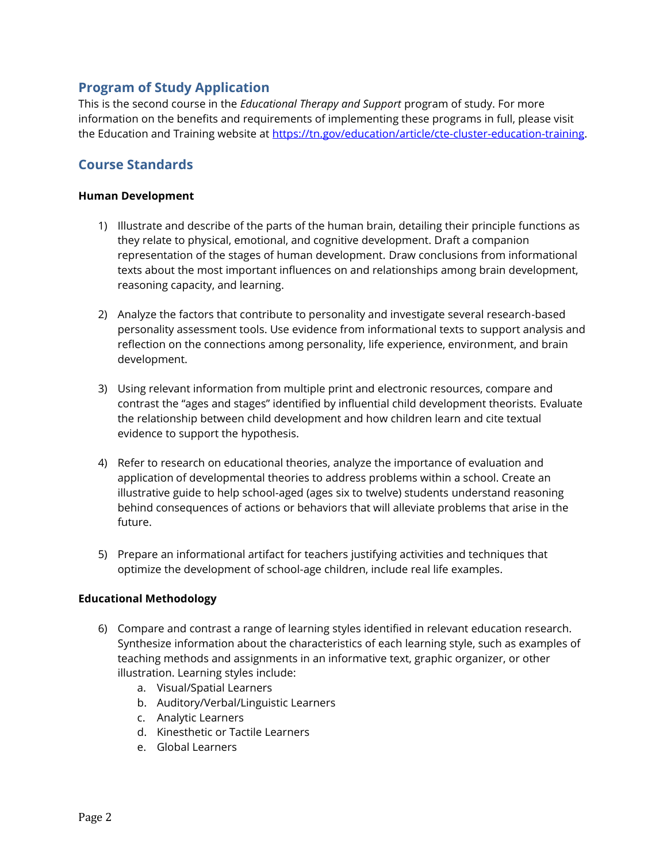### **Program of Study Application**

This is the second course in the *Educational Therapy and Support* program of study. For more information on the benefits and requirements of implementing these programs in full, please visit the Education and Training website at [https://tn.gov/education/article/cte-cluster-education-training.](https://tn.gov/education/article/cte-cluster-education-training)

# **Course Standards**

#### **Human Development**

- 1) Illustrate and describe of the parts of the human brain, detailing their principle functions as they relate to physical, emotional, and cognitive development. Draft a companion representation of the stages of human development. Draw conclusions from informational texts about the most important influences on and relationships among brain development, reasoning capacity, and learning.
- 2) Analyze the factors that contribute to personality and investigate several research-based personality assessment tools. Use evidence from informational texts to support analysis and reflection on the connections among personality, life experience, environment, and brain development.
- 3) Using relevant information from multiple print and electronic resources, compare and contrast the "ages and stages" identified by influential child development theorists. Evaluate the relationship between child development and how children learn and cite textual evidence to support the hypothesis.
- 4) Refer to research on educational theories, analyze the importance of evaluation and application of developmental theories to address problems within a school. Create an illustrative guide to help school-aged (ages six to twelve) students understand reasoning behind consequences of actions or behaviors that will alleviate problems that arise in the future.
- 5) Prepare an informational artifact for teachers justifying activities and techniques that optimize the development of school-age children, include real life examples.

#### **Educational Methodology**

- 6) Compare and contrast a range of learning styles identified in relevant education research. Synthesize information about the characteristics of each learning style, such as examples of teaching methods and assignments in an informative text, graphic organizer, or other illustration. Learning styles include:
	- a. Visual/Spatial Learners
	- b. Auditory/Verbal/Linguistic Learners
	- c. Analytic Learners
	- d. Kinesthetic or Tactile Learners
	- e. Global Learners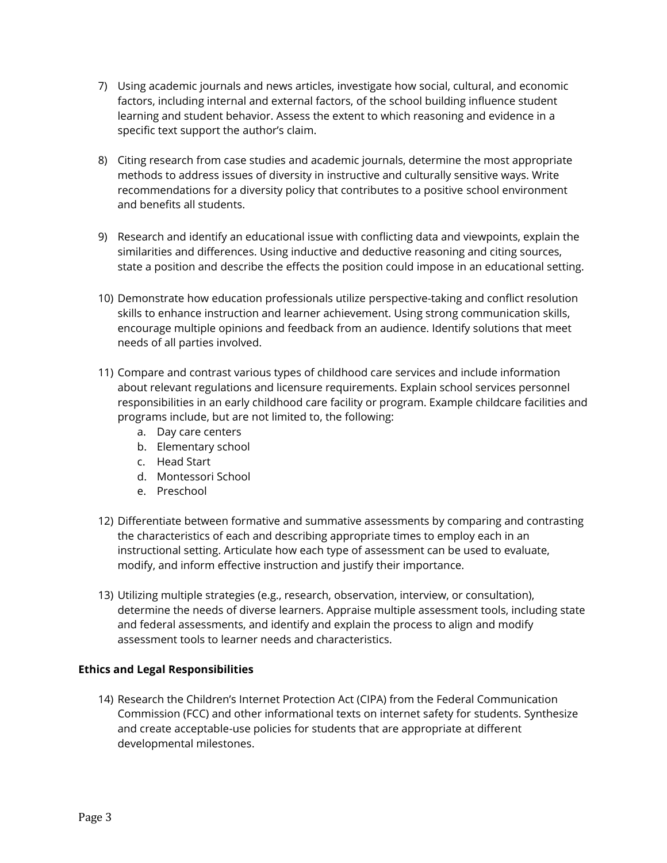- 7) Using academic journals and news articles, investigate how social, cultural, and economic factors, including internal and external factors, of the school building influence student learning and student behavior. Assess the extent to which reasoning and evidence in a specific text support the author's claim.
- 8) Citing research from case studies and academic journals, determine the most appropriate methods to address issues of diversity in instructive and culturally sensitive ways. Write recommendations for a diversity policy that contributes to a positive school environment and benefits all students.
- 9) Research and identify an educational issue with conflicting data and viewpoints, explain the similarities and differences. Using inductive and deductive reasoning and citing sources, state a position and describe the effects the position could impose in an educational setting.
- 10) Demonstrate how education professionals utilize perspective-taking and conflict resolution skills to enhance instruction and learner achievement. Using strong communication skills, encourage multiple opinions and feedback from an audience. Identify solutions that meet needs of all parties involved.
- 11) Compare and contrast various types of childhood care services and include information about relevant regulations and licensure requirements. Explain school services personnel responsibilities in an early childhood care facility or program. Example childcare facilities and programs include, but are not limited to, the following:
	- a. Day care centers
	- b. Elementary school
	- c. Head Start
	- d. Montessori School
	- e. Preschool
- 12) Differentiate between formative and summative assessments by comparing and contrasting the characteristics of each and describing appropriate times to employ each in an instructional setting. Articulate how each type of assessment can be used to evaluate, modify, and inform effective instruction and justify their importance.
- 13) Utilizing multiple strategies (e.g., research, observation, interview, or consultation), determine the needs of diverse learners. Appraise multiple assessment tools, including state and federal assessments, and identify and explain the process to align and modify assessment tools to learner needs and characteristics.

### **Ethics and Legal Responsibilities**

14) Research the Children's Internet Protection Act (CIPA) from the Federal Communication Commission (FCC) and other informational texts on internet safety for students. Synthesize and create acceptable-use policies for students that are appropriate at different developmental milestones.